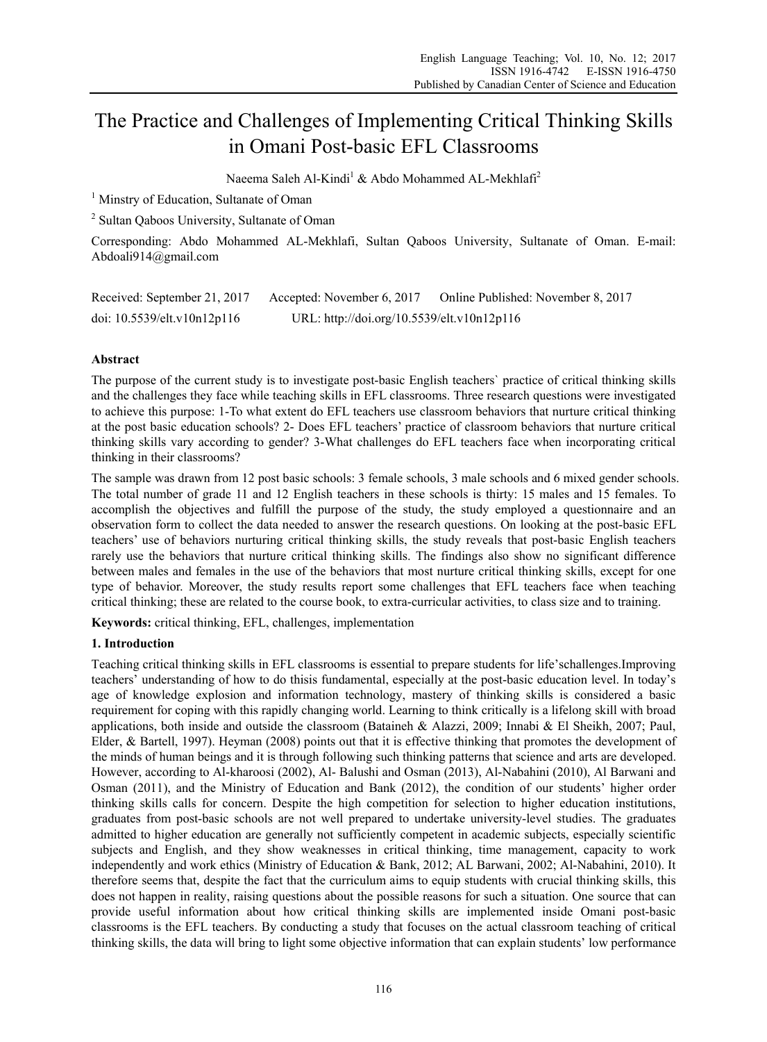# The Practice and Challenges of Implementing Critical Thinking Skills in Omani Post-basic EFL Classrooms

Naeema Saleh Al-Kindi<sup>1</sup> & Abdo Mohammed AL-Mekhlafi<sup>2</sup>

<sup>1</sup> Minstry of Education, Sultanate of Oman

<sup>2</sup> Sultan Qaboos University, Sultanate of Oman

Corresponding: Abdo Mohammed AL-Mekhlafi, Sultan Qaboos University, Sultanate of Oman. E-mail: Abdoali914@gmail.com

| Received: September 21, 2017   | Accepted: November 6, 2017                 | Online Published: November 8, 2017 |
|--------------------------------|--------------------------------------------|------------------------------------|
| doi: $10.5539$ /elt.v10n12p116 | URL: http://doi.org/10.5539/elt.v10n12p116 |                                    |

### **Abstract**

The purpose of the current study is to investigate post-basic English teachers` practice of critical thinking skills and the challenges they face while teaching skills in EFL classrooms. Three research questions were investigated to achieve this purpose: 1-To what extent do EFL teachers use classroom behaviors that nurture critical thinking at the post basic education schools? 2- Does EFL teachers' practice of classroom behaviors that nurture critical thinking skills vary according to gender? 3-What challenges do EFL teachers face when incorporating critical thinking in their classrooms?

The sample was drawn from 12 post basic schools: 3 female schools, 3 male schools and 6 mixed gender schools. The total number of grade 11 and 12 English teachers in these schools is thirty: 15 males and 15 females. To accomplish the objectives and fulfill the purpose of the study, the study employed a questionnaire and an observation form to collect the data needed to answer the research questions. On looking at the post-basic EFL teachers' use of behaviors nurturing critical thinking skills, the study reveals that post-basic English teachers rarely use the behaviors that nurture critical thinking skills. The findings also show no significant difference between males and females in the use of the behaviors that most nurture critical thinking skills, except for one type of behavior. Moreover, the study results report some challenges that EFL teachers face when teaching critical thinking; these are related to the course book, to extra-curricular activities, to class size and to training.

**Keywords:** critical thinking, EFL, challenges, implementation

### **1. Introduction**

Teaching critical thinking skills in EFL classrooms is essential to prepare students for life'schallenges.Improving teachers' understanding of how to do thisis fundamental, especially at the post-basic education level. In today's age of knowledge explosion and information technology, mastery of thinking skills is considered a basic requirement for coping with this rapidly changing world. Learning to think critically is a lifelong skill with broad applications, both inside and outside the classroom (Bataineh & Alazzi, 2009; Innabi & El Sheikh, 2007; Paul, Elder, & Bartell, 1997). Heyman (2008) points out that it is effective thinking that promotes the development of the minds of human beings and it is through following such thinking patterns that science and arts are developed. However, according to Al-kharoosi (2002), Al- Balushi and Osman (2013), Al-Nabahini (2010), Al Barwani and Osman (2011), and the Ministry of Education and Bank (2012), the condition of our students' higher order thinking skills calls for concern. Despite the high competition for selection to higher education institutions, graduates from post-basic schools are not well prepared to undertake university-level studies. The graduates admitted to higher education are generally not sufficiently competent in academic subjects, especially scientific subjects and English, and they show weaknesses in critical thinking, time management, capacity to work independently and work ethics (Ministry of Education & Bank, 2012; AL Barwani, 2002; Al-Nabahini, 2010). It therefore seems that, despite the fact that the curriculum aims to equip students with crucial thinking skills, this does not happen in reality, raising questions about the possible reasons for such a situation. One source that can provide useful information about how critical thinking skills are implemented inside Omani post-basic classrooms is the EFL teachers. By conducting a study that focuses on the actual classroom teaching of critical thinking skills, the data will bring to light some objective information that can explain students' low performance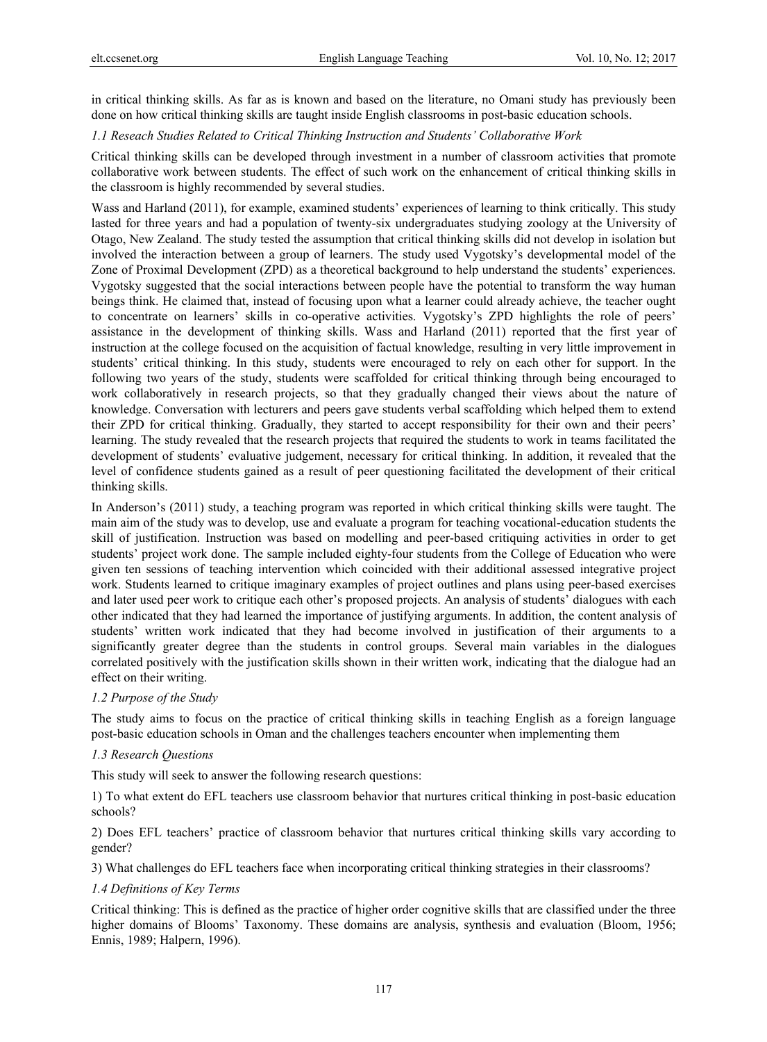in critical thinking skills. As far as is known and based on the literature, no Omani study has previously been done on how critical thinking skills are taught inside English classrooms in post-basic education schools.

### *1.1 Reseach Studies Related to Critical Thinking Instruction and Students' Collaborative Work*

Critical thinking skills can be developed through investment in a number of classroom activities that promote collaborative work between students. The effect of such work on the enhancement of critical thinking skills in the classroom is highly recommended by several studies.

Wass and Harland (2011), for example, examined students' experiences of learning to think critically. This study lasted for three years and had a population of twenty-six undergraduates studying zoology at the University of Otago, New Zealand. The study tested the assumption that critical thinking skills did not develop in isolation but involved the interaction between a group of learners. The study used Vygotsky's developmental model of the Zone of Proximal Development (ZPD) as a theoretical background to help understand the students' experiences. Vygotsky suggested that the social interactions between people have the potential to transform the way human beings think. He claimed that, instead of focusing upon what a learner could already achieve, the teacher ought to concentrate on learners' skills in co-operative activities. Vygotsky's ZPD highlights the role of peers' assistance in the development of thinking skills. Wass and Harland (2011) reported that the first year of instruction at the college focused on the acquisition of factual knowledge, resulting in very little improvement in students' critical thinking. In this study, students were encouraged to rely on each other for support. In the following two years of the study, students were scaffolded for critical thinking through being encouraged to work collaboratively in research projects, so that they gradually changed their views about the nature of knowledge. Conversation with lecturers and peers gave students verbal scaffolding which helped them to extend their ZPD for critical thinking. Gradually, they started to accept responsibility for their own and their peers' learning. The study revealed that the research projects that required the students to work in teams facilitated the development of students' evaluative judgement, necessary for critical thinking. In addition, it revealed that the level of confidence students gained as a result of peer questioning facilitated the development of their critical thinking skills.

In Anderson's (2011) study, a teaching program was reported in which critical thinking skills were taught. The main aim of the study was to develop, use and evaluate a program for teaching vocational-education students the skill of justification. Instruction was based on modelling and peer-based critiquing activities in order to get students' project work done. The sample included eighty-four students from the College of Education who were given ten sessions of teaching intervention which coincided with their additional assessed integrative project work. Students learned to critique imaginary examples of project outlines and plans using peer-based exercises and later used peer work to critique each other's proposed projects. An analysis of students' dialogues with each other indicated that they had learned the importance of justifying arguments. In addition, the content analysis of students' written work indicated that they had become involved in justification of their arguments to a significantly greater degree than the students in control groups. Several main variables in the dialogues correlated positively with the justification skills shown in their written work, indicating that the dialogue had an effect on their writing.

#### *1.2 Purpose of the Study*

The study aims to focus on the practice of critical thinking skills in teaching English as a foreign language post-basic education schools in Oman and the challenges teachers encounter when implementing them

#### *1.3 Research Questions*

This study will seek to answer the following research questions:

1) To what extent do EFL teachers use classroom behavior that nurtures critical thinking in post-basic education schools?

2) Does EFL teachers' practice of classroom behavior that nurtures critical thinking skills vary according to gender?

3) What challenges do EFL teachers face when incorporating critical thinking strategies in their classrooms?

#### *1.4 Definitions of Key Terms*

Critical thinking: This is defined as the practice of higher order cognitive skills that are classified under the three higher domains of Blooms' Taxonomy. These domains are analysis, synthesis and evaluation (Bloom, 1956; Ennis, 1989; Halpern, 1996).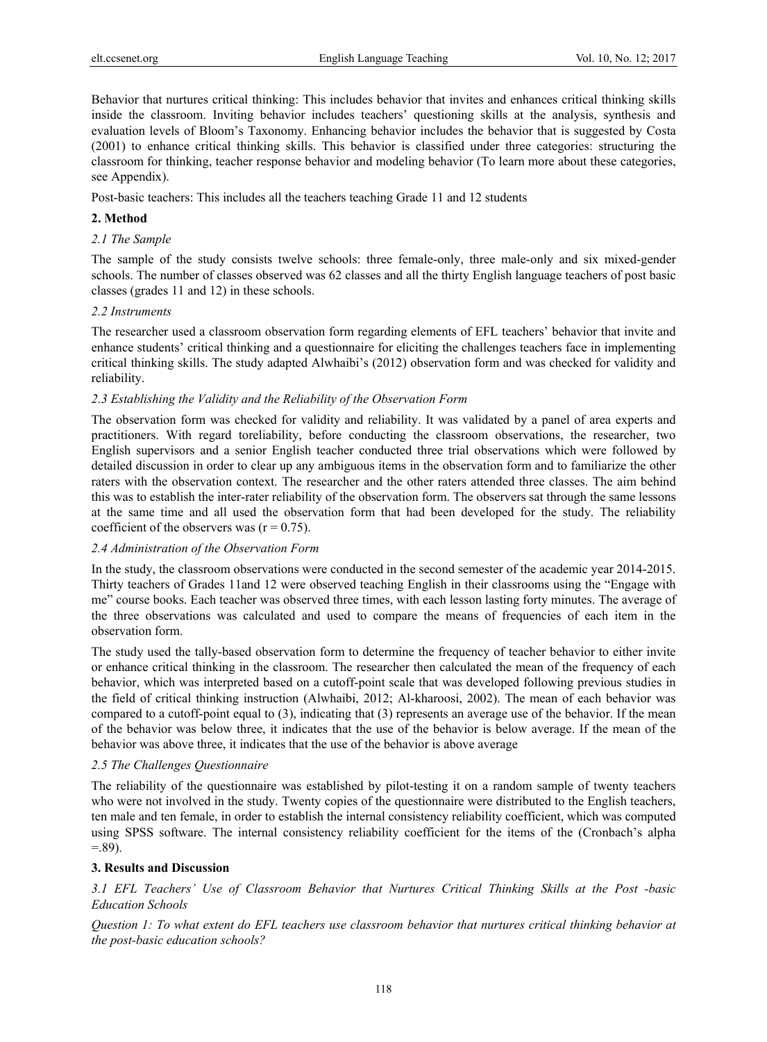Behavior that nurtures critical thinking: This includes behavior that invites and enhances critical thinking skills inside the classroom. Inviting behavior includes teachers' questioning skills at the analysis, synthesis and evaluation levels of Bloom's Taxonomy. Enhancing behavior includes the behavior that is suggested by Costa (2001) to enhance critical thinking skills. This behavior is classified under three categories: structuring the classroom for thinking, teacher response behavior and modeling behavior (To learn more about these categories, see Appendix).

Post-basic teachers: This includes all the teachers teaching Grade 11 and 12 students

#### **2. Method**

#### *2.1 The Sample*

The sample of the study consists twelve schools: three female-only, three male-only and six mixed-gender schools. The number of classes observed was 62 classes and all the thirty English language teachers of post basic classes (grades 11 and 12) in these schools.

#### *2.2 Instruments*

The researcher used a classroom observation form regarding elements of EFL teachers' behavior that invite and enhance students' critical thinking and a questionnaire for eliciting the challenges teachers face in implementing critical thinking skills. The study adapted Alwhaibi's (2012) observation form and was checked for validity and reliability.

#### *2.3 Establishing the Validity and the Reliability of the Observation Form*

The observation form was checked for validity and reliability. It was validated by a panel of area experts and practitioners. With regard toreliability, before conducting the classroom observations, the researcher, two English supervisors and a senior English teacher conducted three trial observations which were followed by detailed discussion in order to clear up any ambiguous items in the observation form and to familiarize the other raters with the observation context. The researcher and the other raters attended three classes. The aim behind this was to establish the inter-rater reliability of the observation form. The observers sat through the same lessons at the same time and all used the observation form that had been developed for the study. The reliability coefficient of the observers was  $(r = 0.75)$ .

#### *2.4 Administration of the Observation Form*

In the study, the classroom observations were conducted in the second semester of the academic year 2014-2015. Thirty teachers of Grades 11and 12 were observed teaching English in their classrooms using the "Engage with me" course books. Each teacher was observed three times, with each lesson lasting forty minutes. The average of the three observations was calculated and used to compare the means of frequencies of each item in the observation form.

The study used the tally-based observation form to determine the frequency of teacher behavior to either invite or enhance critical thinking in the classroom. The researcher then calculated the mean of the frequency of each behavior, which was interpreted based on a cutoff-point scale that was developed following previous studies in the field of critical thinking instruction (Alwhaibi, 2012; Al-kharoosi, 2002). The mean of each behavior was compared to a cutoff-point equal to (3), indicating that (3) represents an average use of the behavior. If the mean of the behavior was below three, it indicates that the use of the behavior is below average. If the mean of the behavior was above three, it indicates that the use of the behavior is above average

#### *2.5 The Challenges Questionnaire*

The reliability of the questionnaire was established by pilot-testing it on a random sample of twenty teachers who were not involved in the study. Twenty copies of the questionnaire were distributed to the English teachers, ten male and ten female, in order to establish the internal consistency reliability coefficient, which was computed using SPSS software. The internal consistency reliability coefficient for the items of the (Cronbach's alpha  $= 0.89$ .

#### **3. Results and Discussion**

*3.1 EFL Teachers' Use of Classroom Behavior that Nurtures Critical Thinking Skills at the Post -basic Education Schools* 

*Question 1: To what extent do EFL teachers use classroom behavior that nurtures critical thinking behavior at the post-basic education schools?*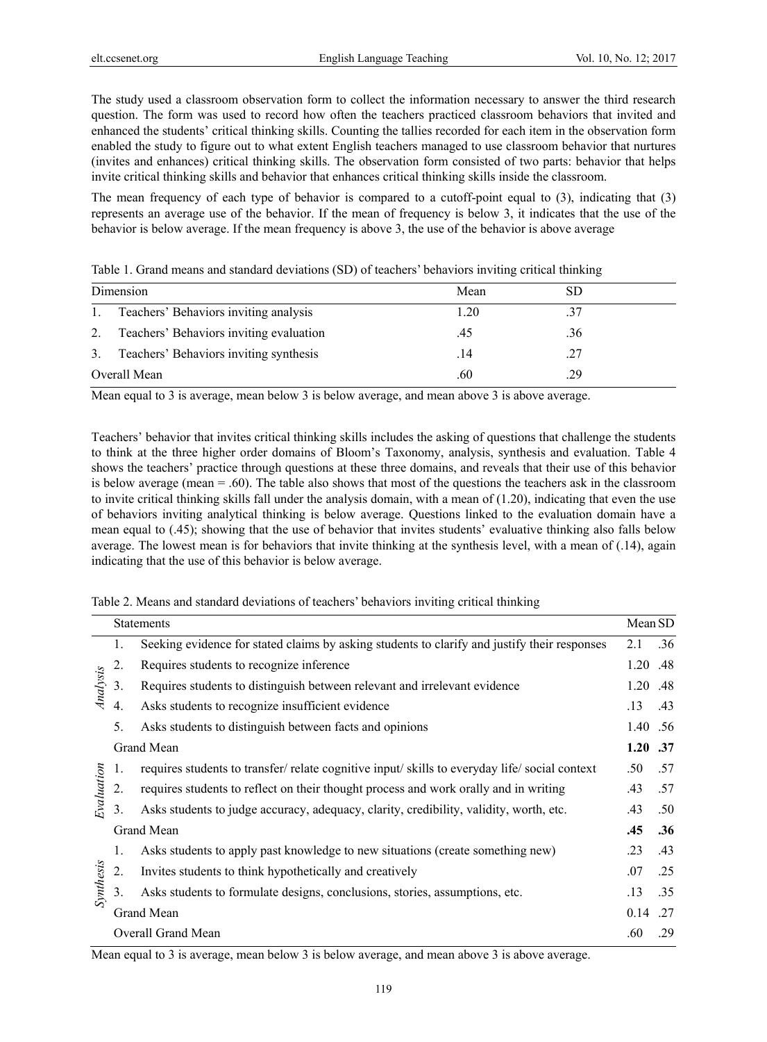The study used a classroom observation form to collect the information necessary to answer the third research question. The form was used to record how often the teachers practiced classroom behaviors that invited and enhanced the students' critical thinking skills. Counting the tallies recorded for each item in the observation form enabled the study to figure out to what extent English teachers managed to use classroom behavior that nurtures (invites and enhances) critical thinking skills. The observation form consisted of two parts: behavior that helps invite critical thinking skills and behavior that enhances critical thinking skills inside the classroom.

The mean frequency of each type of behavior is compared to a cutoff-point equal to (3), indicating that (3) represents an average use of the behavior. If the mean of frequency is below 3, it indicates that the use of the behavior is below average. If the mean frequency is above 3, the use of the behavior is above average

| Table 1. Grand means and standard deviations (SD) of teachers' behaviors inviting critical thinking |  |
|-----------------------------------------------------------------------------------------------------|--|
|-----------------------------------------------------------------------------------------------------|--|

|    | Dimension                               | Mean |     |
|----|-----------------------------------------|------|-----|
|    | Teachers' Behaviors inviting analysis   | 1.20 |     |
| 2. | Teachers' Behaviors inviting evaluation | .45  | .36 |
| 3. | Teachers' Behaviors inviting synthesis  | .14  | .27 |
|    | Overall Mean                            | .60  | .29 |

Mean equal to 3 is average, mean below 3 is below average, and mean above 3 is above average.

Teachers' behavior that invites critical thinking skills includes the asking of questions that challenge the students to think at the three higher order domains of Bloom's Taxonomy, analysis, synthesis and evaluation. Table 4 shows the teachers' practice through questions at these three domains, and reveals that their use of this behavior is below average (mean = .60). The table also shows that most of the questions the teachers ask in the classroom to invite critical thinking skills fall under the analysis domain, with a mean of (1.20), indicating that even the use of behaviors inviting analytical thinking is below average. Questions linked to the evaluation domain have a mean equal to (.45); showing that the use of behavior that invites students' evaluative thinking also falls below average. The lowest mean is for behaviors that invite thinking at the synthesis level, with a mean of (.14), again indicating that the use of this behavior is below average.

| Table 2. Means and standard deviations of teachers' behaviors inviting critical thinking |  |
|------------------------------------------------------------------------------------------|--|
|------------------------------------------------------------------------------------------|--|

|            |                    | <b>Statements</b>                                                                              | Mean SD  |     |
|------------|--------------------|------------------------------------------------------------------------------------------------|----------|-----|
|            | 1.                 | Seeking evidence for stated claims by asking students to clarify and justify their responses   | 2.1      | .36 |
|            | 2.                 | Requires students to recognize inference                                                       | 1.20     | .48 |
| Analysis   | 3.                 | Requires students to distinguish between relevant and irrelevant evidence                      | 1.20     | .48 |
|            | 4.                 | Asks students to recognize insufficient evidence                                               | .13      | .43 |
|            | 5.                 | Asks students to distinguish between facts and opinions                                        | 1.40 .56 |     |
|            |                    | Grand Mean                                                                                     | 1.20     | .37 |
|            | 1.                 | requires students to transfer/ relate cognitive input/ skills to everyday life/ social context | .50      | .57 |
| Evaluation | 2.                 | requires students to reflect on their thought process and work orally and in writing           | .43      | .57 |
|            | 3.                 | Asks students to judge accuracy, adequacy, clarity, credibility, validity, worth, etc.         | .43      | .50 |
|            |                    | Grand Mean                                                                                     | .45      | .36 |
|            | 1.                 | Asks students to apply past knowledge to new situations (create something new)                 | .23      | .43 |
|            | 2.                 | Invites students to think hypothetically and creatively                                        | .07      | .25 |
| Synthesis  | 3.                 | Asks students to formulate designs, conclusions, stories, assumptions, etc.                    | .13      | .35 |
|            | Grand Mean<br>0.14 |                                                                                                |          |     |
|            |                    | Overall Grand Mean                                                                             | .60      | .29 |

Mean equal to 3 is average, mean below 3 is below average, and mean above 3 is above average.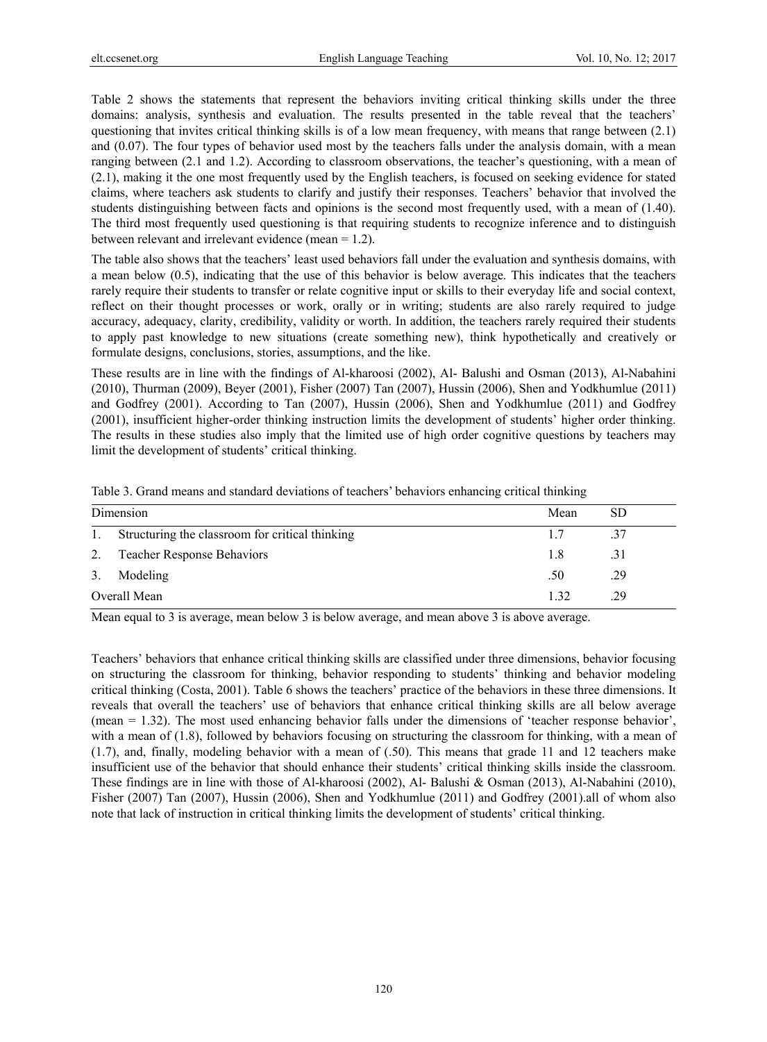Table 2 shows the statements that represent the behaviors inviting critical thinking skills under the three domains: analysis, synthesis and evaluation. The results presented in the table reveal that the teachers' questioning that invites critical thinking skills is of a low mean frequency, with means that range between (2.1) and (0.07). The four types of behavior used most by the teachers falls under the analysis domain, with a mean ranging between (2.1 and 1.2). According to classroom observations, the teacher's questioning, with a mean of (2.1), making it the one most frequently used by the English teachers, is focused on seeking evidence for stated claims, where teachers ask students to clarify and justify their responses. Teachers' behavior that involved the students distinguishing between facts and opinions is the second most frequently used, with a mean of (1.40). The third most frequently used questioning is that requiring students to recognize inference and to distinguish between relevant and irrelevant evidence (mean = 1.2).

The table also shows that the teachers' least used behaviors fall under the evaluation and synthesis domains, with a mean below (0.5), indicating that the use of this behavior is below average. This indicates that the teachers rarely require their students to transfer or relate cognitive input or skills to their everyday life and social context, reflect on their thought processes or work, orally or in writing; students are also rarely required to judge accuracy, adequacy, clarity, credibility, validity or worth. In addition, the teachers rarely required their students to apply past knowledge to new situations (create something new), think hypothetically and creatively or formulate designs, conclusions, stories, assumptions, and the like.

These results are in line with the findings of Al-kharoosi (2002), Al- Balushi and Osman (2013), Al-Nabahini (2010), Thurman (2009), Beyer (2001), Fisher (2007) Tan (2007), Hussin (2006), Shen and Yodkhumlue (2011) and Godfrey (2001). According to Tan (2007), Hussin (2006), Shen and Yodkhumlue (2011) and Godfrey (2001), insufficient higher-order thinking instruction limits the development of students' higher order thinking. The results in these studies also imply that the limited use of high order cognitive questions by teachers may limit the development of students' critical thinking.

|    | Dimension                                       | Mean | SD  |  |
|----|-------------------------------------------------|------|-----|--|
| 1. | Structuring the classroom for critical thinking |      | .37 |  |
| 2. | <b>Teacher Response Behaviors</b>               | 1.8  | .31 |  |
| 3. | Modeling                                        | .50  | .29 |  |
|    | Overall Mean                                    | 1 32 | .29 |  |

Table 3. Grand means and standard deviations of teachers' behaviors enhancing critical thinking

Mean equal to 3 is average, mean below 3 is below average, and mean above 3 is above average.

Teachers' behaviors that enhance critical thinking skills are classified under three dimensions, behavior focusing on structuring the classroom for thinking, behavior responding to students' thinking and behavior modeling critical thinking (Costa, 2001). Table 6 shows the teachers' practice of the behaviors in these three dimensions. It reveals that overall the teachers' use of behaviors that enhance critical thinking skills are all below average (mean = 1.32). The most used enhancing behavior falls under the dimensions of 'teacher response behavior', with a mean of (1.8), followed by behaviors focusing on structuring the classroom for thinking, with a mean of (1.7), and, finally, modeling behavior with a mean of (.50). This means that grade 11 and 12 teachers make insufficient use of the behavior that should enhance their students' critical thinking skills inside the classroom. These findings are in line with those of Al-kharoosi (2002), Al- Balushi & Osman (2013), Al-Nabahini (2010), Fisher (2007) Tan (2007), Hussin (2006), Shen and Yodkhumlue (2011) and Godfrey (2001).all of whom also note that lack of instruction in critical thinking limits the development of students' critical thinking.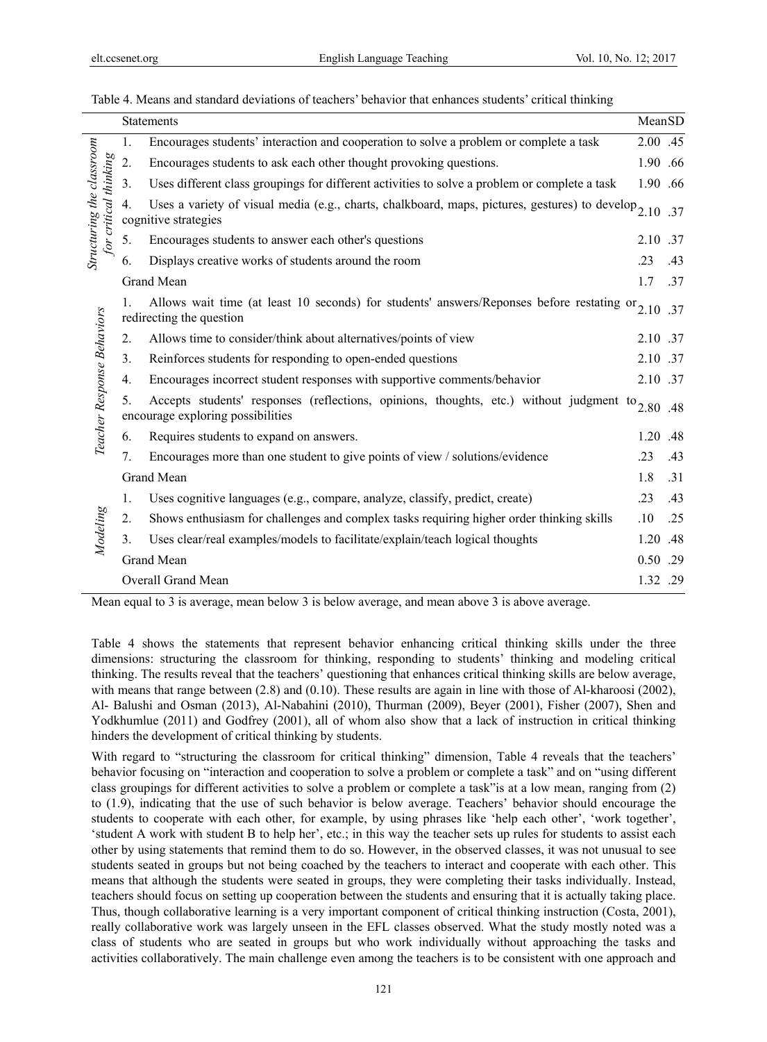| Table 4. Means and standard deviations of teachers' behavior that enhances students' critical thinking |  |  |
|--------------------------------------------------------------------------------------------------------|--|--|
|--------------------------------------------------------------------------------------------------------|--|--|

|                                                    |                  | <b>Statements</b>                                                                                                                       | MeanSD   |     |
|----------------------------------------------------|------------------|-----------------------------------------------------------------------------------------------------------------------------------------|----------|-----|
|                                                    | 1.               | Encourages students' interaction and cooperation to solve a problem or complete a task                                                  | 2.00 .45 |     |
|                                                    | 2.               | Encourages students to ask each other thought provoking questions.                                                                      | 1.90 .66 |     |
|                                                    | 3.               | Uses different class groupings for different activities to solve a problem or complete a task                                           | 1.90 .66 |     |
| Structuring the classroom<br>for critical thinking | $\overline{4}$ . | Uses a variety of visual media (e.g., charts, chalkboard, maps, pictures, gestures) to develop 2.10 .37<br>cognitive strategies         |          |     |
|                                                    | 5.               | Encourages students to answer each other's questions                                                                                    | 2.10 .37 |     |
|                                                    | 6.               | Displays creative works of students around the room                                                                                     | .23      | .43 |
|                                                    |                  | Grand Mean                                                                                                                              | 1.7      | .37 |
|                                                    | $\mathbf{1}$     | Allows wait time (at least 10 seconds) for students' answers/Reponses before restating or $2.10$<br>redirecting the question            |          | .37 |
|                                                    | 2.               | Allows time to consider/think about alternatives/points of view                                                                         | 2.10 .37 |     |
|                                                    | 3.               | Reinforces students for responding to open-ended questions                                                                              | 2.10 .37 |     |
|                                                    | 4.               | Encourages incorrect student responses with supportive comments/behavior                                                                | 2.10 .37 |     |
| Teacher Response Behaviors                         | 5.               | Accepts students' responses (reflections, opinions, thoughts, etc.) without judgment to $2.80$ .48<br>encourage exploring possibilities |          |     |
|                                                    | 6.               | Requires students to expand on answers.                                                                                                 | 1.20 .48 |     |
|                                                    | 7.               | Encourages more than one student to give points of view / solutions/evidence                                                            | .23      | .43 |
|                                                    |                  | <b>Grand Mean</b>                                                                                                                       | 1.8      | .31 |
|                                                    | 1.               | Uses cognitive languages (e.g., compare, analyze, classify, predict, create)                                                            | .23      | .43 |
| Modeling                                           | 2.               | Shows enthusiasm for challenges and complex tasks requiring higher order thinking skills                                                | .10      | .25 |
|                                                    | 3.               | Uses clear/real examples/models to facilitate/explain/teach logical thoughts                                                            | 1.20     | .48 |
|                                                    |                  | Grand Mean                                                                                                                              | 0.50 .29 |     |
|                                                    |                  | Overall Grand Mean                                                                                                                      | 1.32 .29 |     |

Mean equal to 3 is average, mean below 3 is below average, and mean above 3 is above average.

Table 4 shows the statements that represent behavior enhancing critical thinking skills under the three dimensions: structuring the classroom for thinking, responding to students' thinking and modeling critical thinking. The results reveal that the teachers' questioning that enhances critical thinking skills are below average, with means that range between (2.8) and (0.10). These results are again in line with those of Al-kharoosi (2002), Al- Balushi and Osman (2013), Al-Nabahini (2010), Thurman (2009), Beyer (2001), Fisher (2007), Shen and Yodkhumlue (2011) and Godfrey (2001), all of whom also show that a lack of instruction in critical thinking hinders the development of critical thinking by students.

With regard to "structuring the classroom for critical thinking" dimension, Table 4 reveals that the teachers' behavior focusing on "interaction and cooperation to solve a problem or complete a task" and on "using different class groupings for different activities to solve a problem or complete a task"is at a low mean, ranging from (2) to (1.9), indicating that the use of such behavior is below average. Teachers' behavior should encourage the students to cooperate with each other, for example, by using phrases like 'help each other', 'work together', 'student A work with student B to help her', etc.; in this way the teacher sets up rules for students to assist each other by using statements that remind them to do so. However, in the observed classes, it was not unusual to see students seated in groups but not being coached by the teachers to interact and cooperate with each other. This means that although the students were seated in groups, they were completing their tasks individually. Instead, teachers should focus on setting up cooperation between the students and ensuring that it is actually taking place. Thus, though collaborative learning is a very important component of critical thinking instruction (Costa, 2001), really collaborative work was largely unseen in the EFL classes observed. What the study mostly noted was a class of students who are seated in groups but who work individually without approaching the tasks and activities collaboratively. The main challenge even among the teachers is to be consistent with one approach and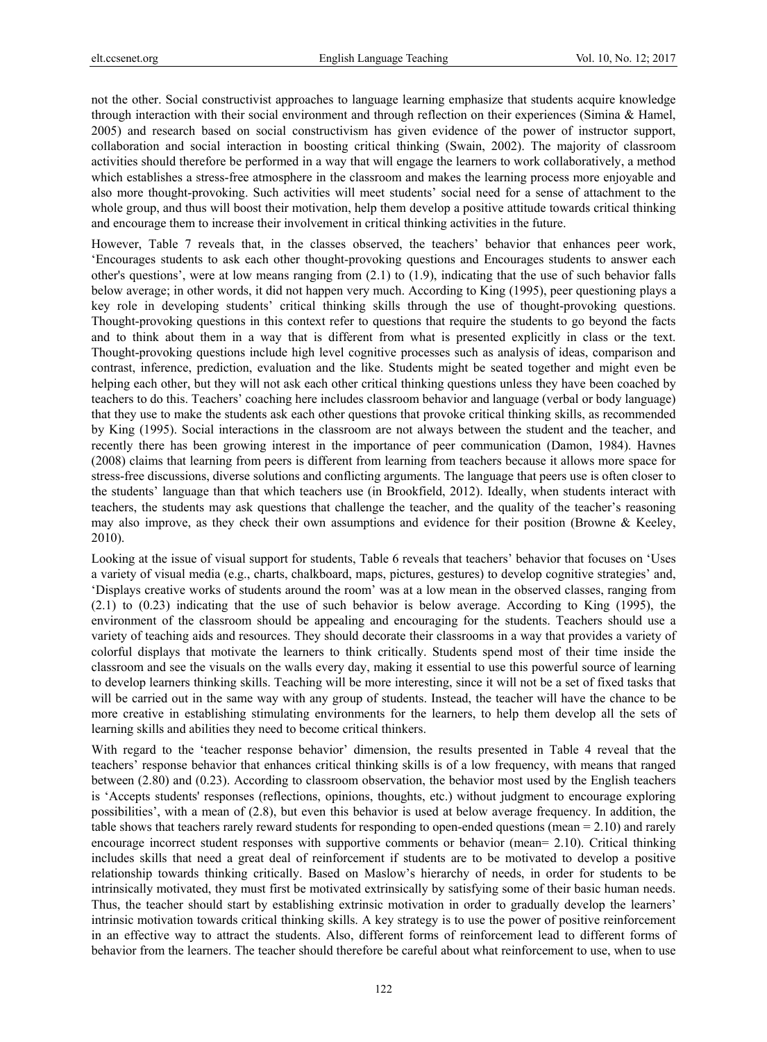not the other. Social constructivist approaches to language learning emphasize that students acquire knowledge through interaction with their social environment and through reflection on their experiences (Simina & Hamel, 2005) and research based on social constructivism has given evidence of the power of instructor support, collaboration and social interaction in boosting critical thinking (Swain, 2002). The majority of classroom activities should therefore be performed in a way that will engage the learners to work collaboratively, a method which establishes a stress-free atmosphere in the classroom and makes the learning process more enjoyable and also more thought-provoking. Such activities will meet students' social need for a sense of attachment to the whole group, and thus will boost their motivation, help them develop a positive attitude towards critical thinking and encourage them to increase their involvement in critical thinking activities in the future.

However, Table 7 reveals that, in the classes observed, the teachers' behavior that enhances peer work, 'Encourages students to ask each other thought-provoking questions and Encourages students to answer each other's questions', were at low means ranging from  $(2.1)$  to  $(1.9)$ , indicating that the use of such behavior falls below average; in other words, it did not happen very much. According to King (1995), peer questioning plays a key role in developing students' critical thinking skills through the use of thought-provoking questions. Thought-provoking questions in this context refer to questions that require the students to go beyond the facts and to think about them in a way that is different from what is presented explicitly in class or the text. Thought-provoking questions include high level cognitive processes such as analysis of ideas, comparison and contrast, inference, prediction, evaluation and the like. Students might be seated together and might even be helping each other, but they will not ask each other critical thinking questions unless they have been coached by teachers to do this. Teachers' coaching here includes classroom behavior and language (verbal or body language) that they use to make the students ask each other questions that provoke critical thinking skills, as recommended by King (1995). Social interactions in the classroom are not always between the student and the teacher, and recently there has been growing interest in the importance of peer communication (Damon, 1984). Havnes (2008) claims that learning from peers is different from learning from teachers because it allows more space for stress-free discussions, diverse solutions and conflicting arguments. The language that peers use is often closer to the students' language than that which teachers use (in Brookfield, 2012). Ideally, when students interact with teachers, the students may ask questions that challenge the teacher, and the quality of the teacher's reasoning may also improve, as they check their own assumptions and evidence for their position (Browne & Keeley, 2010).

Looking at the issue of visual support for students, Table 6 reveals that teachers' behavior that focuses on 'Uses a variety of visual media (e.g., charts, chalkboard, maps, pictures, gestures) to develop cognitive strategies' and, 'Displays creative works of students around the room' was at a low mean in the observed classes, ranging from (2.1) to (0.23) indicating that the use of such behavior is below average. According to King (1995), the environment of the classroom should be appealing and encouraging for the students. Teachers should use a variety of teaching aids and resources. They should decorate their classrooms in a way that provides a variety of colorful displays that motivate the learners to think critically. Students spend most of their time inside the classroom and see the visuals on the walls every day, making it essential to use this powerful source of learning to develop learners thinking skills. Teaching will be more interesting, since it will not be a set of fixed tasks that will be carried out in the same way with any group of students. Instead, the teacher will have the chance to be more creative in establishing stimulating environments for the learners, to help them develop all the sets of learning skills and abilities they need to become critical thinkers.

With regard to the 'teacher response behavior' dimension, the results presented in Table 4 reveal that the teachers' response behavior that enhances critical thinking skills is of a low frequency, with means that ranged between (2.80) and (0.23). According to classroom observation, the behavior most used by the English teachers is 'Accepts students' responses (reflections, opinions, thoughts, etc.) without judgment to encourage exploring possibilities', with a mean of (2.8), but even this behavior is used at below average frequency. In addition, the table shows that teachers rarely reward students for responding to open-ended questions (mean = 2.10) and rarely encourage incorrect student responses with supportive comments or behavior (mean= 2.10). Critical thinking includes skills that need a great deal of reinforcement if students are to be motivated to develop a positive relationship towards thinking critically. Based on Maslow's hierarchy of needs, in order for students to be intrinsically motivated, they must first be motivated extrinsically by satisfying some of their basic human needs. Thus, the teacher should start by establishing extrinsic motivation in order to gradually develop the learners' intrinsic motivation towards critical thinking skills. A key strategy is to use the power of positive reinforcement in an effective way to attract the students. Also, different forms of reinforcement lead to different forms of behavior from the learners. The teacher should therefore be careful about what reinforcement to use, when to use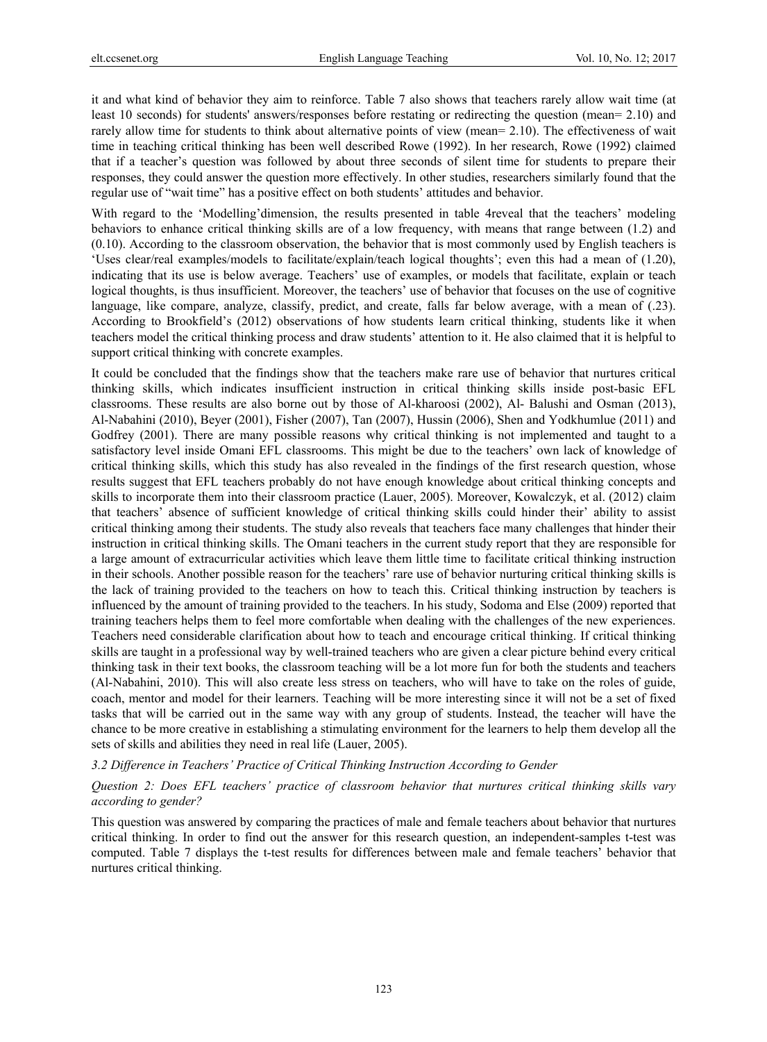it and what kind of behavior they aim to reinforce. Table 7 also shows that teachers rarely allow wait time (at least 10 seconds) for students' answers/responses before restating or redirecting the question (mean= 2.10) and rarely allow time for students to think about alternative points of view (mean= 2.10). The effectiveness of wait time in teaching critical thinking has been well described Rowe (1992). In her research, Rowe (1992) claimed that if a teacher's question was followed by about three seconds of silent time for students to prepare their responses, they could answer the question more effectively. In other studies, researchers similarly found that the regular use of "wait time" has a positive effect on both students' attitudes and behavior.

With regard to the 'Modelling'dimension, the results presented in table 4reveal that the teachers' modeling behaviors to enhance critical thinking skills are of a low frequency, with means that range between (1.2) and (0.10). According to the classroom observation, the behavior that is most commonly used by English teachers is 'Uses clear/real examples/models to facilitate/explain/teach logical thoughts'; even this had a mean of (1.20), indicating that its use is below average. Teachers' use of examples, or models that facilitate, explain or teach logical thoughts, is thus insufficient. Moreover, the teachers' use of behavior that focuses on the use of cognitive language, like compare, analyze, classify, predict, and create, falls far below average, with a mean of (.23). According to Brookfield's (2012) observations of how students learn critical thinking, students like it when teachers model the critical thinking process and draw students' attention to it. He also claimed that it is helpful to support critical thinking with concrete examples.

It could be concluded that the findings show that the teachers make rare use of behavior that nurtures critical thinking skills, which indicates insufficient instruction in critical thinking skills inside post-basic EFL classrooms. These results are also borne out by those of Al-kharoosi (2002), Al- Balushi and Osman (2013), Al-Nabahini (2010), Beyer (2001), Fisher (2007), Tan (2007), Hussin (2006), Shen and Yodkhumlue (2011) and Godfrey (2001). There are many possible reasons why critical thinking is not implemented and taught to a satisfactory level inside Omani EFL classrooms. This might be due to the teachers' own lack of knowledge of critical thinking skills, which this study has also revealed in the findings of the first research question, whose results suggest that EFL teachers probably do not have enough knowledge about critical thinking concepts and skills to incorporate them into their classroom practice (Lauer, 2005). Moreover, Kowalczyk, et al. (2012) claim that teachers' absence of sufficient knowledge of critical thinking skills could hinder their' ability to assist critical thinking among their students. The study also reveals that teachers face many challenges that hinder their instruction in critical thinking skills. The Omani teachers in the current study report that they are responsible for a large amount of extracurricular activities which leave them little time to facilitate critical thinking instruction in their schools. Another possible reason for the teachers' rare use of behavior nurturing critical thinking skills is the lack of training provided to the teachers on how to teach this. Critical thinking instruction by teachers is influenced by the amount of training provided to the teachers. In his study, Sodoma and Else (2009) reported that training teachers helps them to feel more comfortable when dealing with the challenges of the new experiences. Teachers need considerable clarification about how to teach and encourage critical thinking. If critical thinking skills are taught in a professional way by well-trained teachers who are given a clear picture behind every critical thinking task in their text books, the classroom teaching will be a lot more fun for both the students and teachers (Al-Nabahini, 2010). This will also create less stress on teachers, who will have to take on the roles of guide, coach, mentor and model for their learners. Teaching will be more interesting since it will not be a set of fixed tasks that will be carried out in the same way with any group of students. Instead, the teacher will have the chance to be more creative in establishing a stimulating environment for the learners to help them develop all the sets of skills and abilities they need in real life (Lauer, 2005).

#### *3.2 Difference in Teachers' Practice of Critical Thinking Instruction According to Gender*

*Question 2: Does EFL teachers' practice of classroom behavior that nurtures critical thinking skills vary according to gender?* 

This question was answered by comparing the practices of male and female teachers about behavior that nurtures critical thinking. In order to find out the answer for this research question, an independent-samples t-test was computed. Table 7 displays the t-test results for differences between male and female teachers' behavior that nurtures critical thinking.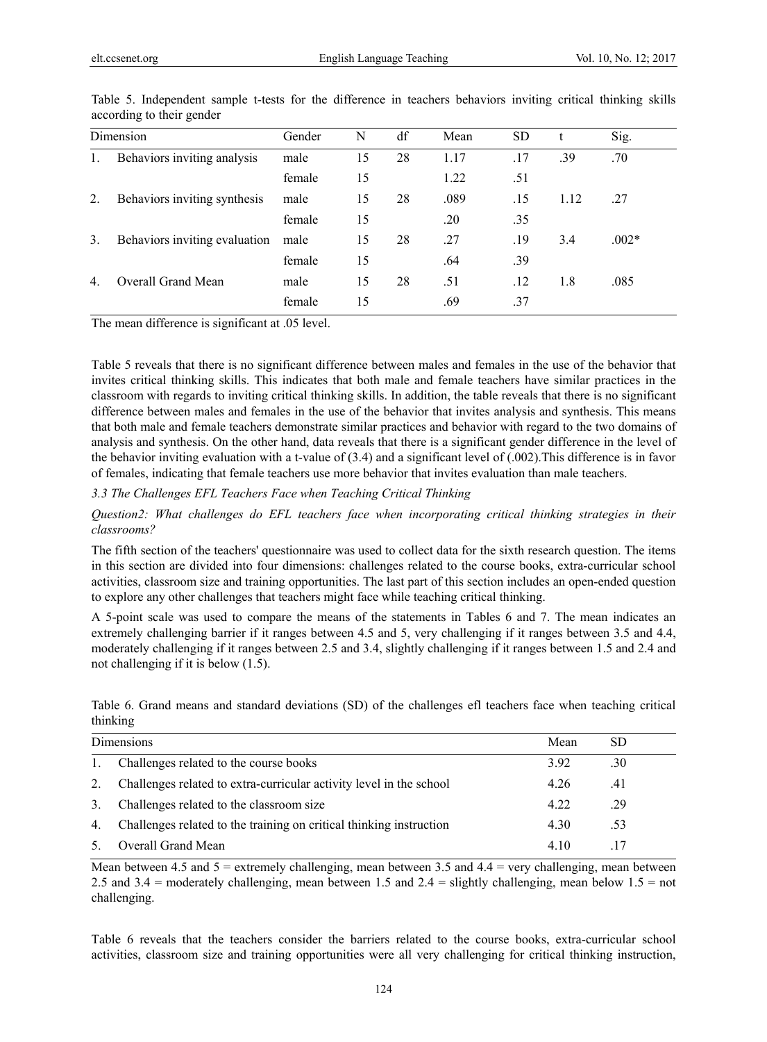|    | Dimension                     | Gender | N  | df | Mean | <b>SD</b> |      | Sig.    |
|----|-------------------------------|--------|----|----|------|-----------|------|---------|
| 1. | Behaviors inviting analysis   | male   | 15 | 28 | 1.17 | .17       | .39  | .70     |
|    |                               | female | 15 |    | 1.22 | .51       |      |         |
| 2. | Behaviors inviting synthesis  | male   | 15 | 28 | .089 | .15       | 1.12 | .27     |
|    |                               | female | 15 |    | .20  | .35       |      |         |
| 3. | Behaviors inviting evaluation | male   | 15 | 28 | .27  | .19       | 3.4  | $.002*$ |
|    |                               | female | 15 |    | .64  | .39       |      |         |
| 4  | Overall Grand Mean            | male   | 15 | 28 | .51  | .12       | 1.8  | .085    |
|    |                               | female | 15 |    | .69  | .37       |      |         |

Table 5. Independent sample t-tests for the difference in teachers behaviors inviting critical thinking skills according to their gender

The mean difference is significant at .05 level.

Table 5 reveals that there is no significant difference between males and females in the use of the behavior that invites critical thinking skills. This indicates that both male and female teachers have similar practices in the classroom with regards to inviting critical thinking skills. In addition, the table reveals that there is no significant difference between males and females in the use of the behavior that invites analysis and synthesis. This means that both male and female teachers demonstrate similar practices and behavior with regard to the two domains of analysis and synthesis. On the other hand, data reveals that there is a significant gender difference in the level of the behavior inviting evaluation with a t-value of (3.4) and a significant level of (.002).This difference is in favor of females, indicating that female teachers use more behavior that invites evaluation than male teachers.

*3.3 The Challenges EFL Teachers Face when Teaching Critical Thinking* 

*Question2: What challenges do EFL teachers face when incorporating critical thinking strategies in their classrooms?* 

The fifth section of the teachers' questionnaire was used to collect data for the sixth research question. The items in this section are divided into four dimensions: challenges related to the course books, extra-curricular school activities, classroom size and training opportunities. The last part of this section includes an open-ended question to explore any other challenges that teachers might face while teaching critical thinking.

A 5-point scale was used to compare the means of the statements in Tables 6 and 7. The mean indicates an extremely challenging barrier if it ranges between 4.5 and 5, very challenging if it ranges between 3.5 and 4.4, moderately challenging if it ranges between 2.5 and 3.4, slightly challenging if it ranges between 1.5 and 2.4 and not challenging if it is below (1.5).

Table 6. Grand means and standard deviations (SD) of the challenges efl teachers face when teaching critical thinking

|    | Dimensions                                                          | Mean  | SD  |
|----|---------------------------------------------------------------------|-------|-----|
| 1. | Challenges related to the course books                              | 3.92  | .30 |
| 2. | Challenges related to extra-curricular activity level in the school | 4.26  | .41 |
| 3. | Challenges related to the classroom size                            | 4 2 2 | .29 |
| 4. | Challenges related to the training on critical thinking instruction | 4.30  | .53 |
|    | <b>Overall Grand Mean</b>                                           | 4 10  | -17 |

Mean between 4.5 and  $5 =$  extremely challenging, mean between 3.5 and 4.4 = very challenging, mean between 2.5 and 3.4 = moderately challenging, mean between 1.5 and 2.4 = slightly challenging, mean below 1.5 = not challenging.

Table 6 reveals that the teachers consider the barriers related to the course books, extra-curricular school activities, classroom size and training opportunities were all very challenging for critical thinking instruction,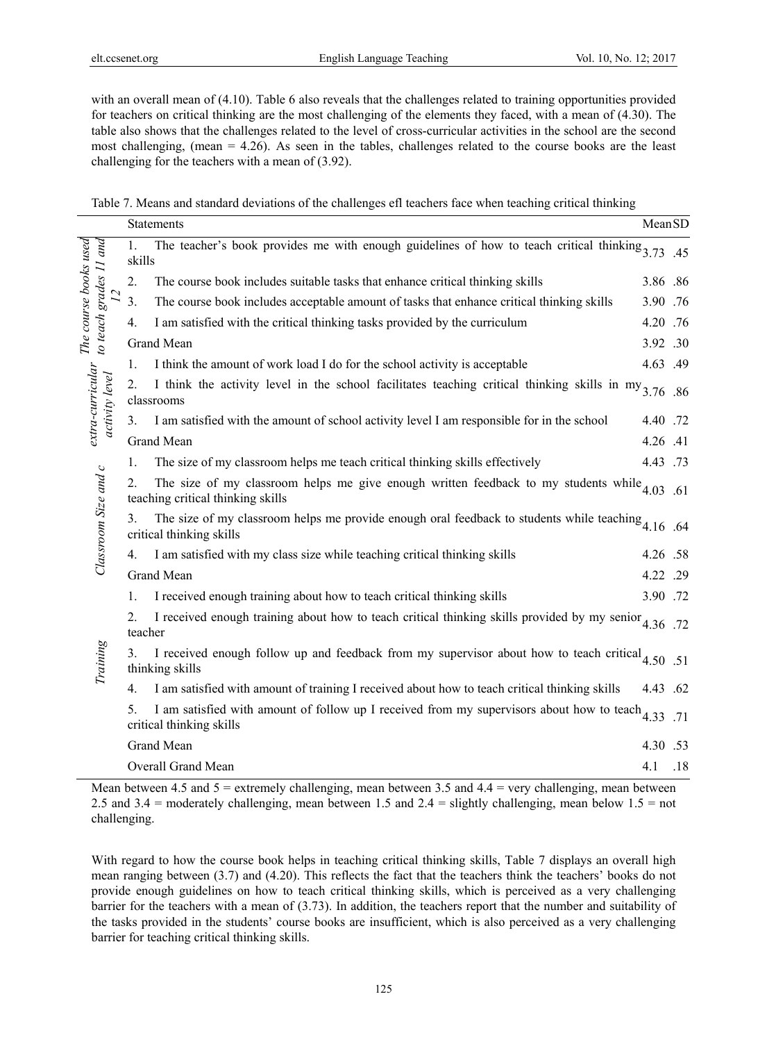with an overall mean of (4.10). Table 6 also reveals that the challenges related to training opportunities provided for teachers on critical thinking are the most challenging of the elements they faced, with a mean of (4.30). The table also shows that the challenges related to the level of cross-curricular activities in the school are the second most challenging, (mean = 4.26). As seen in the tables, challenges related to the course books are the least challenging for the teachers with a mean of (3.92).

Table 7. Means and standard deviations of the challenges efl teachers face when teaching critical thinking

|                                                 | <b>Statements</b>                                                                                                                         | MeanSD   |     |
|-------------------------------------------------|-------------------------------------------------------------------------------------------------------------------------------------------|----------|-----|
| The course books used<br>to teach grades 11 and | The teacher's book provides me with enough guidelines of how to teach critical thinking $3.73$ .45<br>1.<br>skills                        |          |     |
|                                                 | The course book includes suitable tasks that enhance critical thinking skills<br>2.                                                       | 3.86 .86 |     |
|                                                 | The course book includes acceptable amount of tasks that enhance critical thinking skills<br>3.                                           | 3.90 .76 |     |
|                                                 | I am satisfied with the critical thinking tasks provided by the curriculum<br>4.                                                          | 4.20 .76 |     |
|                                                 | Grand Mean                                                                                                                                | 3.92 .30 |     |
|                                                 | I think the amount of work load I do for the school activity is acceptable<br>1.                                                          | 4.63 .49 |     |
| extra-curricular<br>activity level              | I think the activity level in the school facilitates teaching critical thinking skills in $my_{3.76}$ .86<br>2.<br>classrooms             |          |     |
|                                                 | I am satisfied with the amount of school activity level I am responsible for in the school<br>3.                                          | 4.40 .72 |     |
|                                                 | Grand Mean                                                                                                                                | 4.26 .41 |     |
|                                                 | The size of my classroom helps me teach critical thinking skills effectively<br>1.                                                        | 4.43 .73 |     |
| Classroom Size and c                            | The size of my classroom helps me give enough written feedback to my students while $4.03$ .61<br>2.<br>teaching critical thinking skills |          |     |
|                                                 | The size of my classroom helps me provide enough oral feedback to students while teaching $4.16$ .64<br>3.<br>critical thinking skills    |          |     |
|                                                 | I am satisfied with my class size while teaching critical thinking skills<br>4.                                                           | 4.26 .58 |     |
|                                                 | Grand Mean                                                                                                                                | 4.22 .29 |     |
|                                                 | I received enough training about how to teach critical thinking skills<br>$\mathbf{1}$ .                                                  | 3.90 .72 |     |
| Training                                        | I received enough training about how to teach critical thinking skills provided by my senior $4.36$ .72<br>2.<br>teacher                  |          |     |
|                                                 | I received enough follow up and feedback from my supervisor about how to teach critical $4.50$ .51<br>3.<br>thinking skills               |          |     |
|                                                 | I am satisfied with amount of training I received about how to teach critical thinking skills<br>4.                                       | 4.43 .62 |     |
|                                                 | I am satisfied with amount of follow up I received from my supervisors about how to teach $4.33$<br>5.<br>critical thinking skills        |          | .71 |
|                                                 | Grand Mean                                                                                                                                | 4.30 .53 |     |
|                                                 | Overall Grand Mean                                                                                                                        | 4.1      | .18 |

Mean between 4.5 and  $5 =$  extremely challenging, mean between 3.5 and 4.4 = very challenging, mean between 2.5 and 3.4 = moderately challenging, mean between 1.5 and 2.4 = slightly challenging, mean below 1.5 = not challenging.

With regard to how the course book helps in teaching critical thinking skills, Table 7 displays an overall high mean ranging between (3.7) and (4.20). This reflects the fact that the teachers think the teachers' books do not provide enough guidelines on how to teach critical thinking skills, which is perceived as a very challenging barrier for the teachers with a mean of (3.73). In addition, the teachers report that the number and suitability of the tasks provided in the students' course books are insufficient, which is also perceived as a very challenging barrier for teaching critical thinking skills.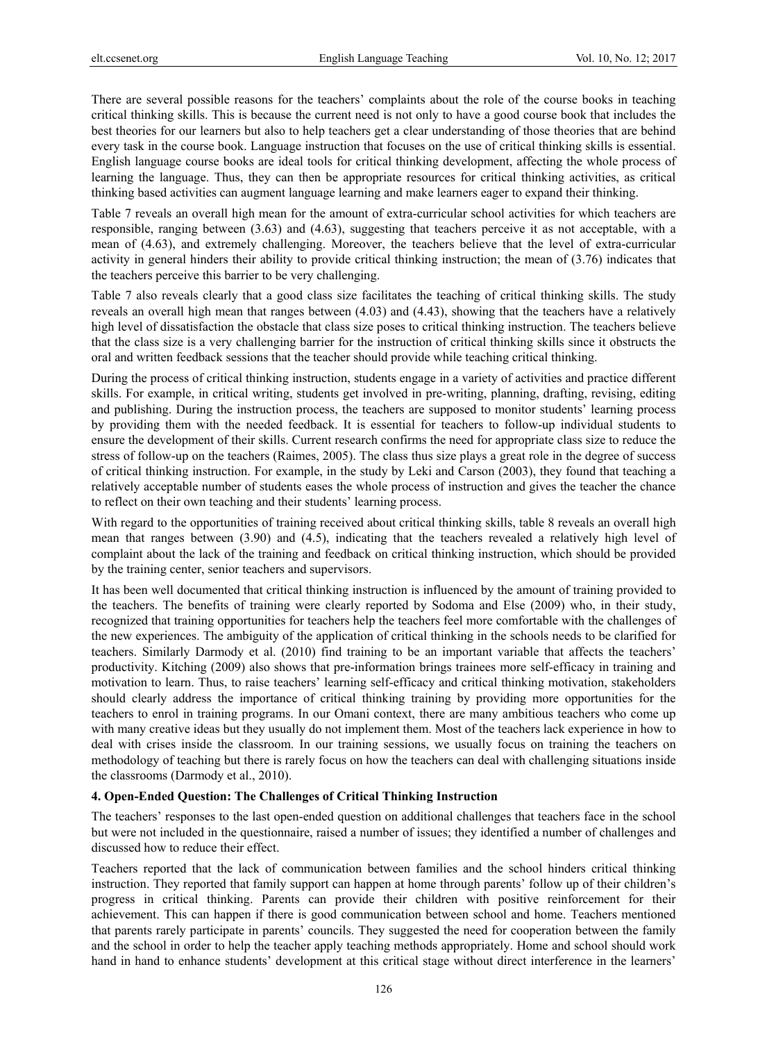There are several possible reasons for the teachers' complaints about the role of the course books in teaching critical thinking skills. This is because the current need is not only to have a good course book that includes the best theories for our learners but also to help teachers get a clear understanding of those theories that are behind every task in the course book. Language instruction that focuses on the use of critical thinking skills is essential. English language course books are ideal tools for critical thinking development, affecting the whole process of learning the language. Thus, they can then be appropriate resources for critical thinking activities, as critical thinking based activities can augment language learning and make learners eager to expand their thinking.

Table 7 reveals an overall high mean for the amount of extra-curricular school activities for which teachers are responsible, ranging between (3.63) and (4.63), suggesting that teachers perceive it as not acceptable, with a mean of (4.63), and extremely challenging. Moreover, the teachers believe that the level of extra-curricular activity in general hinders their ability to provide critical thinking instruction; the mean of (3.76) indicates that the teachers perceive this barrier to be very challenging.

Table 7 also reveals clearly that a good class size facilitates the teaching of critical thinking skills. The study reveals an overall high mean that ranges between (4.03) and (4.43), showing that the teachers have a relatively high level of dissatisfaction the obstacle that class size poses to critical thinking instruction. The teachers believe that the class size is a very challenging barrier for the instruction of critical thinking skills since it obstructs the oral and written feedback sessions that the teacher should provide while teaching critical thinking.

During the process of critical thinking instruction, students engage in a variety of activities and practice different skills. For example, in critical writing, students get involved in pre-writing, planning, drafting, revising, editing and publishing. During the instruction process, the teachers are supposed to monitor students' learning process by providing them with the needed feedback. It is essential for teachers to follow-up individual students to ensure the development of their skills. Current research confirms the need for appropriate class size to reduce the stress of follow-up on the teachers (Raimes, 2005). The class thus size plays a great role in the degree of success of critical thinking instruction. For example, in the study by Leki and Carson (2003), they found that teaching a relatively acceptable number of students eases the whole process of instruction and gives the teacher the chance to reflect on their own teaching and their students' learning process.

With regard to the opportunities of training received about critical thinking skills, table 8 reveals an overall high mean that ranges between (3.90) and (4.5), indicating that the teachers revealed a relatively high level of complaint about the lack of the training and feedback on critical thinking instruction, which should be provided by the training center, senior teachers and supervisors.

It has been well documented that critical thinking instruction is influenced by the amount of training provided to the teachers. The benefits of training were clearly reported by Sodoma and Else (2009) who, in their study, recognized that training opportunities for teachers help the teachers feel more comfortable with the challenges of the new experiences. The ambiguity of the application of critical thinking in the schools needs to be clarified for teachers. Similarly Darmody et al. (2010) find training to be an important variable that affects the teachers' productivity. Kitching (2009) also shows that pre-information brings trainees more self-efficacy in training and motivation to learn. Thus, to raise teachers' learning self-efficacy and critical thinking motivation, stakeholders should clearly address the importance of critical thinking training by providing more opportunities for the teachers to enrol in training programs. In our Omani context, there are many ambitious teachers who come up with many creative ideas but they usually do not implement them. Most of the teachers lack experience in how to deal with crises inside the classroom. In our training sessions, we usually focus on training the teachers on methodology of teaching but there is rarely focus on how the teachers can deal with challenging situations inside the classrooms (Darmody et al., 2010).

#### **4. Open-Ended Question: The Challenges of Critical Thinking Instruction**

The teachers' responses to the last open-ended question on additional challenges that teachers face in the school but were not included in the questionnaire, raised a number of issues; they identified a number of challenges and discussed how to reduce their effect.

Teachers reported that the lack of communication between families and the school hinders critical thinking instruction. They reported that family support can happen at home through parents' follow up of their children's progress in critical thinking. Parents can provide their children with positive reinforcement for their achievement. This can happen if there is good communication between school and home. Teachers mentioned that parents rarely participate in parents' councils. They suggested the need for cooperation between the family and the school in order to help the teacher apply teaching methods appropriately. Home and school should work hand in hand to enhance students' development at this critical stage without direct interference in the learners'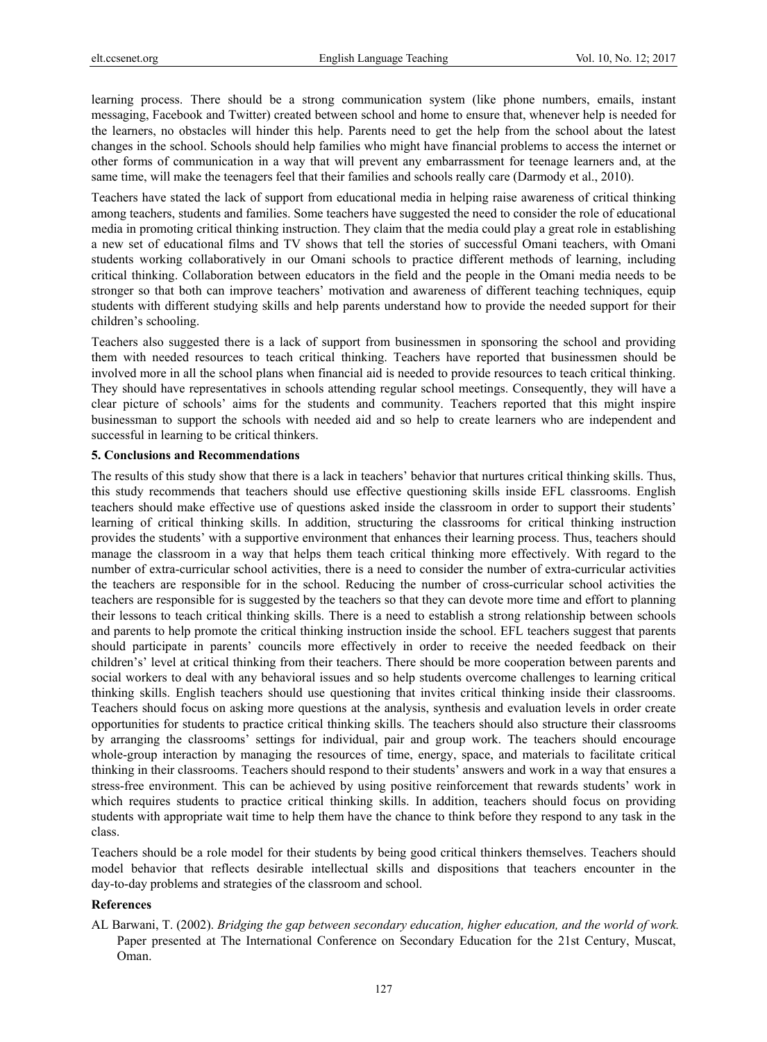learning process. There should be a strong communication system (like phone numbers, emails, instant messaging, Facebook and Twitter) created between school and home to ensure that, whenever help is needed for the learners, no obstacles will hinder this help. Parents need to get the help from the school about the latest changes in the school. Schools should help families who might have financial problems to access the internet or other forms of communication in a way that will prevent any embarrassment for teenage learners and, at the same time, will make the teenagers feel that their families and schools really care (Darmody et al., 2010).

Teachers have stated the lack of support from educational media in helping raise awareness of critical thinking among teachers, students and families. Some teachers have suggested the need to consider the role of educational media in promoting critical thinking instruction. They claim that the media could play a great role in establishing a new set of educational films and TV shows that tell the stories of successful Omani teachers, with Omani students working collaboratively in our Omani schools to practice different methods of learning, including critical thinking. Collaboration between educators in the field and the people in the Omani media needs to be stronger so that both can improve teachers' motivation and awareness of different teaching techniques, equip students with different studying skills and help parents understand how to provide the needed support for their children's schooling.

Teachers also suggested there is a lack of support from businessmen in sponsoring the school and providing them with needed resources to teach critical thinking. Teachers have reported that businessmen should be involved more in all the school plans when financial aid is needed to provide resources to teach critical thinking. They should have representatives in schools attending regular school meetings. Consequently, they will have a clear picture of schools' aims for the students and community. Teachers reported that this might inspire businessman to support the schools with needed aid and so help to create learners who are independent and successful in learning to be critical thinkers.

#### **5. Conclusions and Recommendations**

The results of this study show that there is a lack in teachers' behavior that nurtures critical thinking skills. Thus, this study recommends that teachers should use effective questioning skills inside EFL classrooms. English teachers should make effective use of questions asked inside the classroom in order to support their students' learning of critical thinking skills. In addition, structuring the classrooms for critical thinking instruction provides the students' with a supportive environment that enhances their learning process. Thus, teachers should manage the classroom in a way that helps them teach critical thinking more effectively. With regard to the number of extra-curricular school activities, there is a need to consider the number of extra-curricular activities the teachers are responsible for in the school. Reducing the number of cross-curricular school activities the teachers are responsible for is suggested by the teachers so that they can devote more time and effort to planning their lessons to teach critical thinking skills. There is a need to establish a strong relationship between schools and parents to help promote the critical thinking instruction inside the school. EFL teachers suggest that parents should participate in parents' councils more effectively in order to receive the needed feedback on their children's' level at critical thinking from their teachers. There should be more cooperation between parents and social workers to deal with any behavioral issues and so help students overcome challenges to learning critical thinking skills. English teachers should use questioning that invites critical thinking inside their classrooms. Teachers should focus on asking more questions at the analysis, synthesis and evaluation levels in order create opportunities for students to practice critical thinking skills. The teachers should also structure their classrooms by arranging the classrooms' settings for individual, pair and group work. The teachers should encourage whole-group interaction by managing the resources of time, energy, space, and materials to facilitate critical thinking in their classrooms. Teachers should respond to their students' answers and work in a way that ensures a stress-free environment. This can be achieved by using positive reinforcement that rewards students' work in which requires students to practice critical thinking skills. In addition, teachers should focus on providing students with appropriate wait time to help them have the chance to think before they respond to any task in the class.

Teachers should be a role model for their students by being good critical thinkers themselves. Teachers should model behavior that reflects desirable intellectual skills and dispositions that teachers encounter in the day-to-day problems and strategies of the classroom and school.

#### **References**

AL Barwani, T. (2002). *Bridging the gap between secondary education, higher education, and the world of work.* Paper presented at The International Conference on Secondary Education for the 21st Century, Muscat, Oman.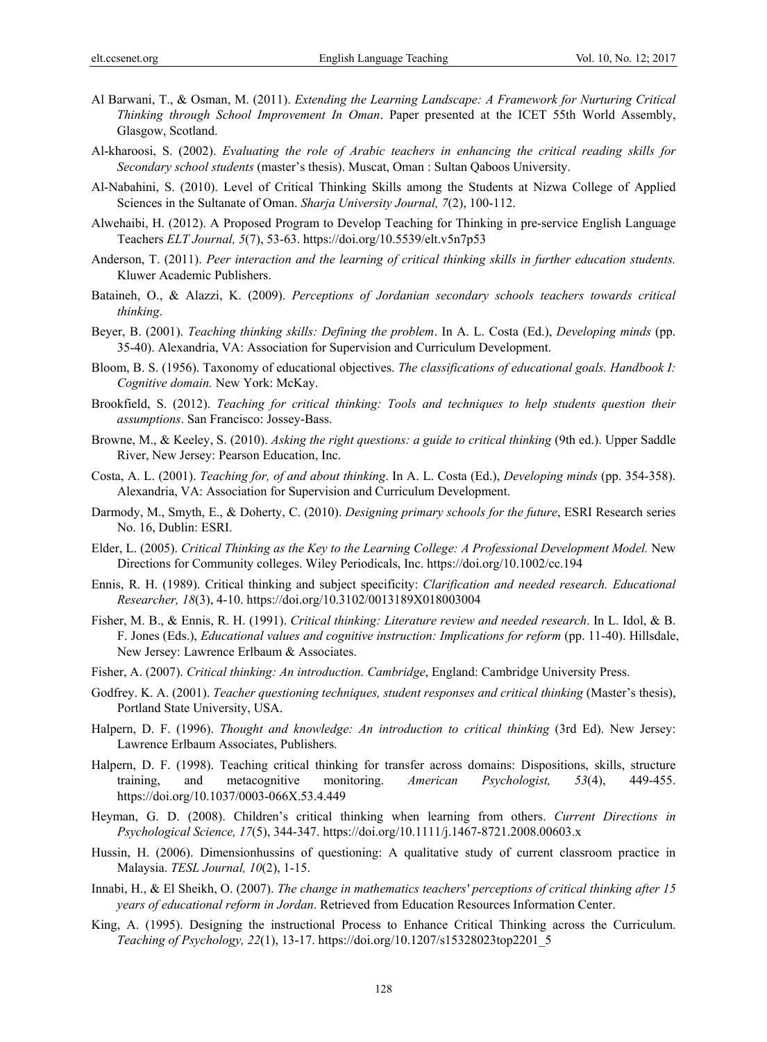- Al Barwani, T., & Osman, M. (2011). *Extending the Learning Landscape: A Framework for Nurturing Critical Thinking through School Improvement In Oman*. Paper presented at the ICET 55th World Assembly, Glasgow, Scotland.
- Al-kharoosi, S. (2002). *Evaluating the role of Arabic teachers in enhancing the critical reading skills for Secondary school students* (master's thesis). Muscat, Oman : Sultan Qaboos University.
- Al-Nabahini, S. (2010). Level of Critical Thinking Skills among the Students at Nizwa College of Applied Sciences in the Sultanate of Oman. *Sharja University Journal, 7*(2), 100-112.
- Alwehaibi, H. (2012). A Proposed Program to Develop Teaching for Thinking in pre-service English Language Teachers *ELT Journal, 5*(7), 53-63. https://doi.org/10.5539/elt.v5n7p53
- Anderson, T. (2011). *Peer interaction and the learning of critical thinking skills in further education students.* Kluwer Academic Publishers.
- Bataineh, O., & Alazzi, K. (2009). *Perceptions of Jordanian secondary schools teachers towards critical thinking*.
- Beyer, B. (2001). *Teaching thinking skills: Defining the problem*. In A. L. Costa (Ed.), *Developing minds* (pp. 35-40). Alexandria, VA: Association for Supervision and Curriculum Development.
- Bloom, B. S. (1956). Taxonomy of educational objectives. *The classifications of educational goals. Handbook I: Cognitive domain.* New York: McKay.
- Brookfield, S. (2012). *Teaching for critical thinking: Tools and techniques to help students question their assumptions*. San Francisco: Jossey-Bass.
- Browne, M., & Keeley, S. (2010). *Asking the right questions: a guide to critical thinking* (9th ed.). Upper Saddle River, New Jersey: Pearson Education, Inc.
- Costa, A. L. (2001). *Teaching for, of and about thinking*. In A. L. Costa (Ed.), *Developing minds* (pp. 354-358). Alexandria, VA: Association for Supervision and Curriculum Development.
- Darmody, M., Smyth, E., & Doherty, C. (2010). *Designing primary schools for the future*, ESRI Research series No. 16, Dublin: ESRI.
- Elder, L. (2005). *Critical Thinking as the Key to the Learning College: A Professional Development Model.* New Directions for Community colleges. Wiley Periodicals, Inc. https://doi.org/10.1002/cc.194
- Ennis, R. H. (1989). Critical thinking and subject specificity: *Clarification and needed research. Educational Researcher, 18*(3), 4-10. https://doi.org/10.3102/0013189X018003004
- Fisher, M. B., & Ennis, R. H. (1991). *Critical thinking: Literature review and needed research*. In L. Idol, & B. F. Jones (Eds.), *Educational values and cognitive instruction: Implications for reform* (pp. 11-40). Hillsdale, New Jersey: Lawrence Erlbaum & Associates.
- Fisher, A. (2007). *Critical thinking: An introduction. Cambridge*, England: Cambridge University Press.
- Godfrey. K. A. (2001). *Teacher questioning techniques, student responses and critical thinking* (Master's thesis), Portland State University, USA.
- Halpern, D. F. (1996). *Thought and knowledge: An introduction to critical thinking* (3rd Ed). New Jersey: Lawrence Erlbaum Associates, Publishers.
- Halpern, D. F. (1998). Teaching critical thinking for transfer across domains: Dispositions, skills, structure training, and metacognitive monitoring. *American Psychologist, 53*(4), 449-455. https://doi.org/10.1037/0003-066X.53.4.449
- Heyman, G. D. (2008). Children's critical thinking when learning from others. *Current Directions in Psychological Science, 17*(5), 344-347. https://doi.org/10.1111/j.1467-8721.2008.00603.x
- Hussin, H. (2006). Dimensionhussins of questioning: A qualitative study of current classroom practice in Malaysia. *TESL Journal, 10*(2), 1-15.
- Innabi, H., & El Sheikh, O. (2007). *The change in mathematics teachers' perceptions of critical thinking after 15 years of educational reform in Jordan*. Retrieved from Education Resources Information Center.
- King, A. (1995). Designing the instructional Process to Enhance Critical Thinking across the Curriculum. *Teaching of Psychology, 22*(1), 13-17. https://doi.org/10.1207/s15328023top2201\_5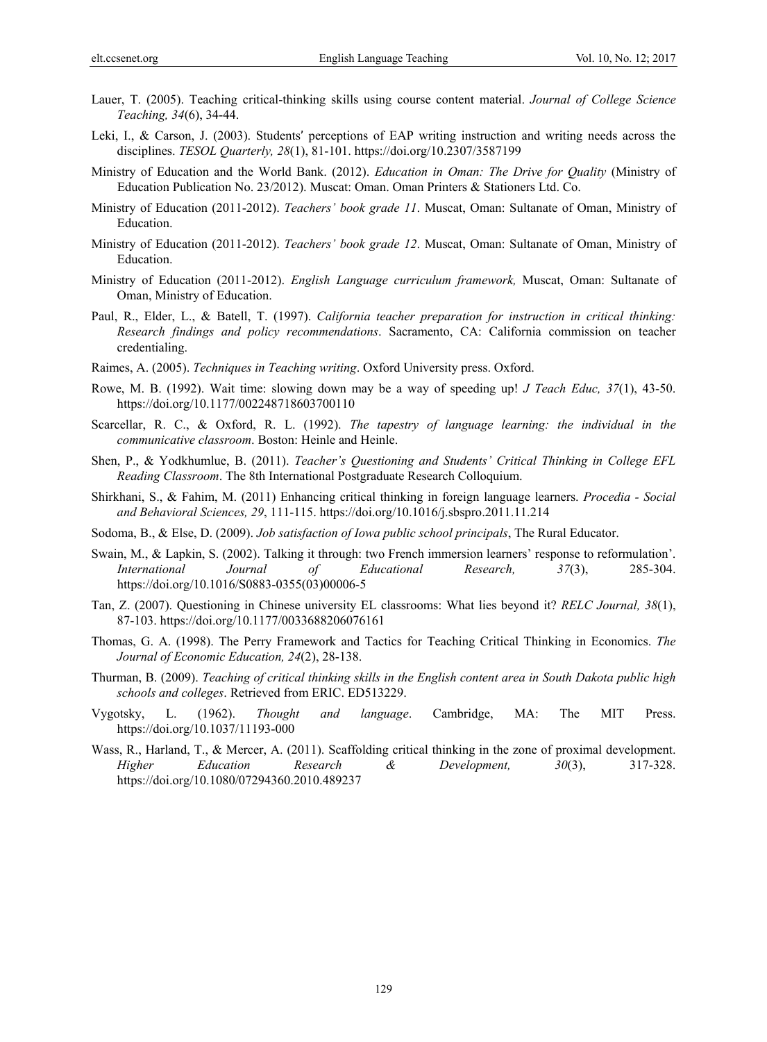- Lauer, T. (2005). Teaching critical-thinking skills using course content material. *Journal of College Science Teaching, 34*(6), 34-44.
- Leki, I., & Carson, J. (2003). Students' perceptions of EAP writing instruction and writing needs across the disciplines. *TESOL Quarterly, 28*(1), 81-101. https://doi.org/10.2307/3587199
- Ministry of Education and the World Bank. (2012). *Education in Oman: The Drive for Quality* (Ministry of Education Publication No. 23/2012). Muscat: Oman. Oman Printers & Stationers Ltd. Co.
- Ministry of Education (2011-2012). *Teachers' book grade 11*. Muscat, Oman: Sultanate of Oman, Ministry of Education.
- Ministry of Education (2011-2012). *Teachers' book grade 12*. Muscat, Oman: Sultanate of Oman, Ministry of Education.
- Ministry of Education (2011-2012). *English Language curriculum framework,* Muscat, Oman: Sultanate of Oman, Ministry of Education.
- Paul, R., Elder, L., & Batell, T. (1997). *California teacher preparation for instruction in critical thinking: Research findings and policy recommendations*. Sacramento, CA: California commission on teacher credentialing.
- Raimes, A. (2005). *Techniques in Teaching writing*. Oxford University press. Oxford.
- Rowe, M. B. (1992). Wait time: slowing down may be a way of speeding up! *J Teach Educ, 37*(1), 43-50. https://doi.org/10.1177/002248718603700110
- Scarcellar, R. C., & Oxford, R. L. (1992). *The tapestry of language learning: the individual in the communicative classroom.* Boston: Heinle and Heinle.
- Shen, P., & Yodkhumlue, B. (2011). *Teacher's Questioning and Students' Critical Thinking in College EFL Reading Classroom*. The 8th International Postgraduate Research Colloquium.
- Shirkhani, S., & Fahim, M. (2011) Enhancing critical thinking in foreign language learners. *Procedia Social and Behavioral Sciences, 29*, 111-115. https://doi.org/10.1016/j.sbspro.2011.11.214
- Sodoma, B., & Else, D. (2009). *Job satisfaction of Iowa public school principals*, The Rural Educator.
- Swain, M., & Lapkin, S. (2002). Talking it through: two French immersion learners' response to reformulation'. *International Journal of Educational Research, 37*(3), 285-304. https://doi.org/10.1016/S0883-0355(03)00006-5
- Tan, Z. (2007). Questioning in Chinese university EL classrooms: What lies beyond it? *RELC Journal, 38*(1), 87-103. https://doi.org/10.1177/0033688206076161
- Thomas, G. A. (1998). The Perry Framework and Tactics for Teaching Critical Thinking in Economics. *The Journal of Economic Education, 24*(2), 28-138.
- Thurman, B. (2009). *Teaching of critical thinking skills in the English content area in South Dakota public high schools and colleges*. Retrieved from ERIC. ED513229.
- Vygotsky, L. (1962). *Thought and language*. Cambridge, MA: The MIT Press. https://doi.org/10.1037/11193-000
- Wass, R., Harland, T., & Mercer, A. (2011). Scaffolding critical thinking in the zone of proximal development. *Higher Education Research & Development, 30*(3), 317-328. https://doi.org/10.1080/07294360.2010.489237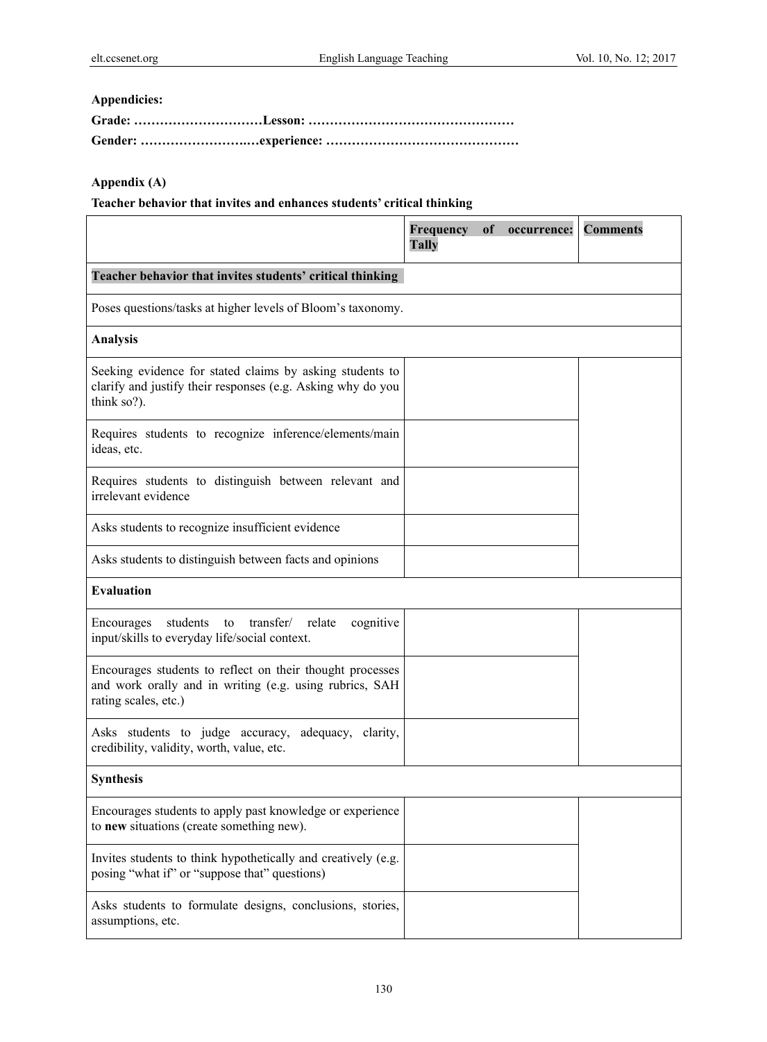# **Appendicies:**

# **Appendix (A)**

# **Teacher behavior that invites and enhances students' critical thinking**

|                                                                                                                                              | of<br>Frequency<br>occurrence:<br><b>Tally</b> | <b>Comments</b> |
|----------------------------------------------------------------------------------------------------------------------------------------------|------------------------------------------------|-----------------|
| Teacher behavior that invites students' critical thinking                                                                                    |                                                |                 |
| Poses questions/tasks at higher levels of Bloom's taxonomy.                                                                                  |                                                |                 |
| <b>Analysis</b>                                                                                                                              |                                                |                 |
| Seeking evidence for stated claims by asking students to<br>clarify and justify their responses (e.g. Asking why do you<br>think so?).       |                                                |                 |
| Requires students to recognize inference/elements/main<br>ideas, etc.                                                                        |                                                |                 |
| Requires students to distinguish between relevant and<br>irrelevant evidence                                                                 |                                                |                 |
| Asks students to recognize insufficient evidence                                                                                             |                                                |                 |
| Asks students to distinguish between facts and opinions                                                                                      |                                                |                 |
| <b>Evaluation</b>                                                                                                                            |                                                |                 |
| students to<br>transfer/<br>relate<br>cognitive<br>Encourages<br>input/skills to everyday life/social context.                               |                                                |                 |
| Encourages students to reflect on their thought processes<br>and work orally and in writing (e.g. using rubrics, SAH<br>rating scales, etc.) |                                                |                 |
| Asks students to judge accuracy, adequacy, clarity,<br>credibility, validity, worth, value, etc.                                             |                                                |                 |
| <b>Synthesis</b>                                                                                                                             |                                                |                 |
| Encourages students to apply past knowledge or experience<br>to new situations (create something new).                                       |                                                |                 |
| Invites students to think hypothetically and creatively (e.g.<br>posing "what if" or "suppose that" questions)                               |                                                |                 |
| Asks students to formulate designs, conclusions, stories,<br>assumptions, etc.                                                               |                                                |                 |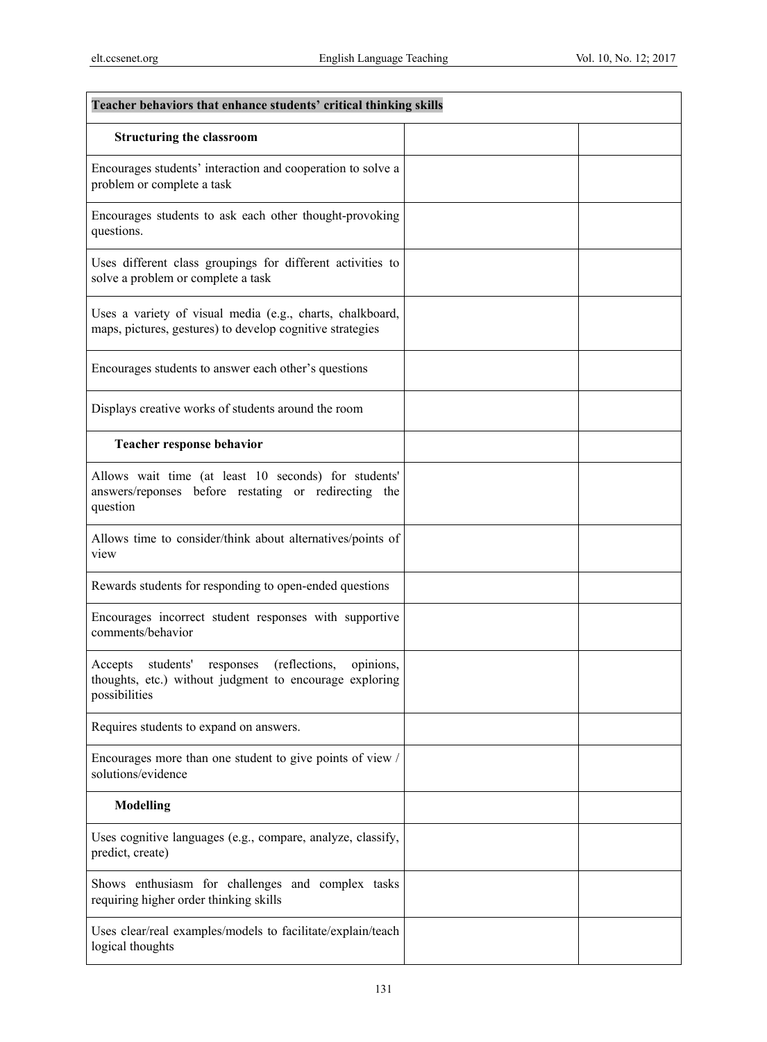| Teacher behaviors that enhance students' critical thinking skills                                                                           |  |  |  |  |
|---------------------------------------------------------------------------------------------------------------------------------------------|--|--|--|--|
| <b>Structuring the classroom</b>                                                                                                            |  |  |  |  |
| Encourages students' interaction and cooperation to solve a<br>problem or complete a task                                                   |  |  |  |  |
| Encourages students to ask each other thought-provoking<br>questions.                                                                       |  |  |  |  |
| Uses different class groupings for different activities to<br>solve a problem or complete a task                                            |  |  |  |  |
| Uses a variety of visual media (e.g., charts, chalkboard,<br>maps, pictures, gestures) to develop cognitive strategies                      |  |  |  |  |
| Encourages students to answer each other's questions                                                                                        |  |  |  |  |
| Displays creative works of students around the room                                                                                         |  |  |  |  |
| Teacher response behavior                                                                                                                   |  |  |  |  |
| Allows wait time (at least 10 seconds) for students'<br>answers/reponses before restating or redirecting the<br>question                    |  |  |  |  |
| Allows time to consider/think about alternatives/points of<br>view                                                                          |  |  |  |  |
| Rewards students for responding to open-ended questions                                                                                     |  |  |  |  |
| Encourages incorrect student responses with supportive<br>comments/behavior                                                                 |  |  |  |  |
| (reflections,<br>students'<br>opinions,<br>Accepts<br>responses<br>thoughts, etc.) without judgment to encourage exploring<br>possibilities |  |  |  |  |
| Requires students to expand on answers.                                                                                                     |  |  |  |  |
| Encourages more than one student to give points of view /<br>solutions/evidence                                                             |  |  |  |  |
| <b>Modelling</b>                                                                                                                            |  |  |  |  |
| Uses cognitive languages (e.g., compare, analyze, classify,<br>predict, create)                                                             |  |  |  |  |
| Shows enthusiasm for challenges and complex tasks<br>requiring higher order thinking skills                                                 |  |  |  |  |
| Uses clear/real examples/models to facilitate/explain/teach<br>logical thoughts                                                             |  |  |  |  |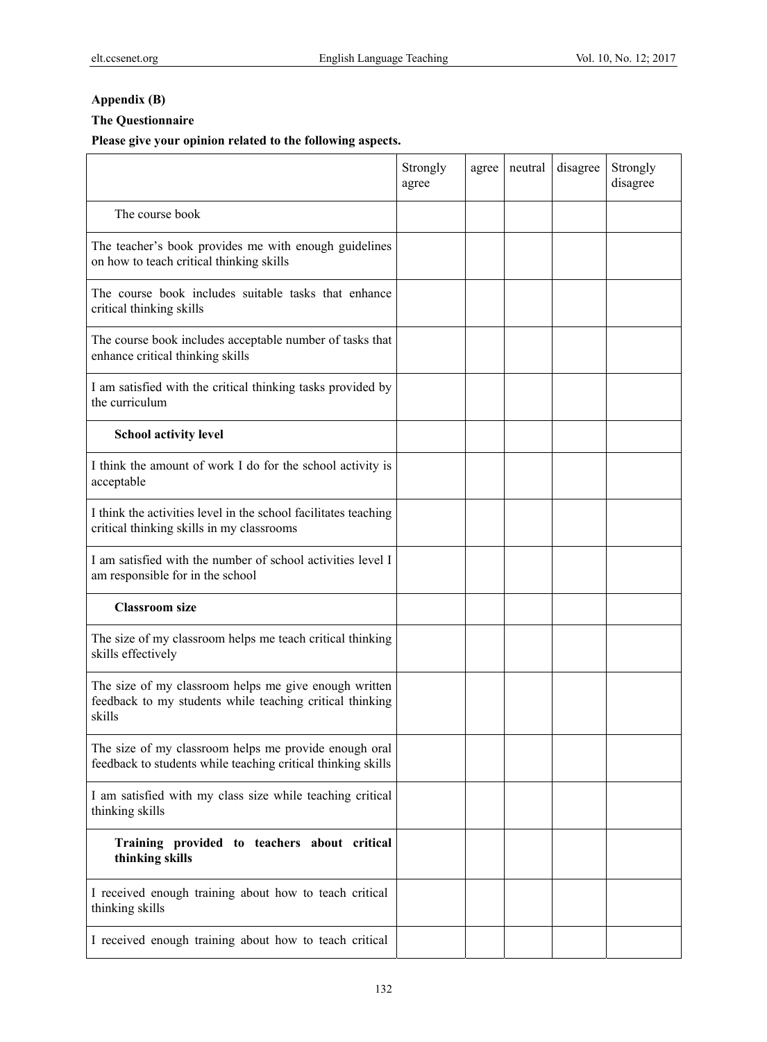# **Appendix (B)**

# **The Questionnaire**

## **Please give your opinion related to the following aspects.**

|                                                                                                                             | Strongly<br>agree | agree | neutral | disagree | Strongly<br>disagree |
|-----------------------------------------------------------------------------------------------------------------------------|-------------------|-------|---------|----------|----------------------|
| The course book                                                                                                             |                   |       |         |          |                      |
| The teacher's book provides me with enough guidelines<br>on how to teach critical thinking skills                           |                   |       |         |          |                      |
| The course book includes suitable tasks that enhance<br>critical thinking skills                                            |                   |       |         |          |                      |
| The course book includes acceptable number of tasks that<br>enhance critical thinking skills                                |                   |       |         |          |                      |
| I am satisfied with the critical thinking tasks provided by<br>the curriculum                                               |                   |       |         |          |                      |
| <b>School activity level</b>                                                                                                |                   |       |         |          |                      |
| I think the amount of work I do for the school activity is<br>acceptable                                                    |                   |       |         |          |                      |
| I think the activities level in the school facilitates teaching<br>critical thinking skills in my classrooms                |                   |       |         |          |                      |
| I am satisfied with the number of school activities level I<br>am responsible for in the school                             |                   |       |         |          |                      |
| <b>Classroom size</b>                                                                                                       |                   |       |         |          |                      |
| The size of my classroom helps me teach critical thinking<br>skills effectively                                             |                   |       |         |          |                      |
| The size of my classroom helps me give enough written<br>feedback to my students while teaching critical thinking<br>skills |                   |       |         |          |                      |
| The size of my classroom helps me provide enough oral<br>feedback to students while teaching critical thinking skills       |                   |       |         |          |                      |
| I am satisfied with my class size while teaching critical<br>thinking skills                                                |                   |       |         |          |                      |
| Training provided to teachers about critical<br>thinking skills                                                             |                   |       |         |          |                      |
| I received enough training about how to teach critical<br>thinking skills                                                   |                   |       |         |          |                      |
| I received enough training about how to teach critical                                                                      |                   |       |         |          |                      |